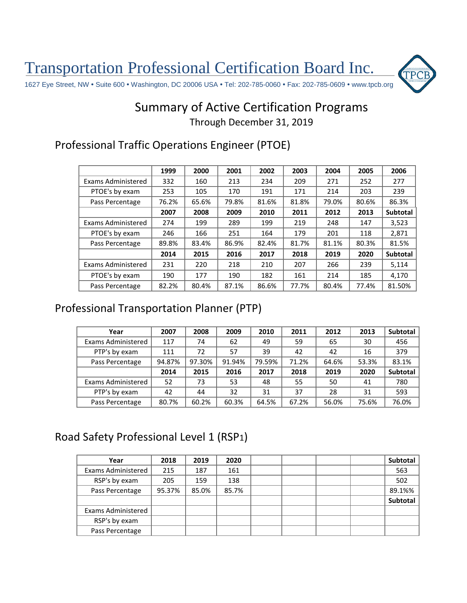Transportation Professional Certification Board Inc.



## Summary of Active Certification Programs Through December 31, 2019

#### Professional Traffic Operations Engineer (PTOE)

|                    | 1999  | 2000  | 2001  | 2002  | 2003  | 2004  | 2005  | 2006     |
|--------------------|-------|-------|-------|-------|-------|-------|-------|----------|
| Exams Administered | 332   | 160   | 213   | 234   | 209   | 271   | 252   | 277      |
| PTOE's by exam     | 253   | 105   | 170   | 191   | 171   | 214   | 203   | 239      |
| Pass Percentage    | 76.2% | 65.6% | 79.8% | 81.6% | 81.8% | 79.0% | 80.6% | 86.3%    |
|                    | 2007  | 2008  | 2009  | 2010  | 2011  | 2012  | 2013  | Subtotal |
| Exams Administered | 274   | 199   | 289   | 199   | 219   | 248   | 147   | 3,523    |
| PTOE's by exam     | 246   | 166   | 251   | 164   | 179   | 201   | 118   | 2,871    |
| Pass Percentage    | 89.8% | 83.4% | 86.9% | 82.4% | 81.7% | 81.1% | 80.3% | 81.5%    |
|                    | 2014  | 2015  | 2016  | 2017  | 2018  | 2019  | 2020  | Subtotal |
| Exams Administered | 231   | 220   | 218   | 210   | 207   | 266   | 239   | 5,114    |
| PTOE's by exam     | 190   | 177   | 190   | 182   | 161   | 214   | 185   | 4.170    |
| Pass Percentage    | 82.2% | 80.4% | 87.1% | 86.6% | 77.7% | 80.4% | 77.4% | 81.50%   |

#### Professional Transportation Planner (PTP)

| Year               | 2007   | 2008   | 2009   | 2010   | 2011  | 2012  | 2013  | <b>Subtotal</b> |
|--------------------|--------|--------|--------|--------|-------|-------|-------|-----------------|
| Exams Administered | 117    | 74     | 62     | 49     | 59    | 65    | 30    | 456             |
| PTP's by exam      | 111    | 72     | 57     | 39     | 42    | 42    | 16    | 379             |
| Pass Percentage    | 94.87% | 97.30% | 91.94% | 79.59% | 71.2% | 64.6% | 53.3% | 83.1%           |
|                    | 2014   | 2015   | 2016   | 2017   | 2018  | 2019  | 2020  | <b>Subtotal</b> |
| Exams Administered | 52     | 73     | 53     | 48     | 55    | 50    | 41    | 780             |
| PTP's by exam      | 42     | 44     | 32     | 31     | 37    | 28    | 31    | 593             |
| Pass Percentage    | 80.7%  | 60.2%  | 60.3%  | 64.5%  | 67.2% | 56.0% | 75.6% | 76.0%           |

### Road Safety Professional Level 1 (RSP1)

| Year                      | 2018   | 2019  | 2020  |  |  | Subtotal |
|---------------------------|--------|-------|-------|--|--|----------|
| <b>Exams Administered</b> | 215    | 187   | 161   |  |  | 563      |
| RSP's by exam             | 205    | 159   | 138   |  |  | 502      |
| Pass Percentage           | 95.37% | 85.0% | 85.7% |  |  | 89.1%%   |
|                           |        |       |       |  |  | Subtotal |
| Exams Administered        |        |       |       |  |  |          |
| RSP's by exam             |        |       |       |  |  |          |
| Pass Percentage           |        |       |       |  |  |          |